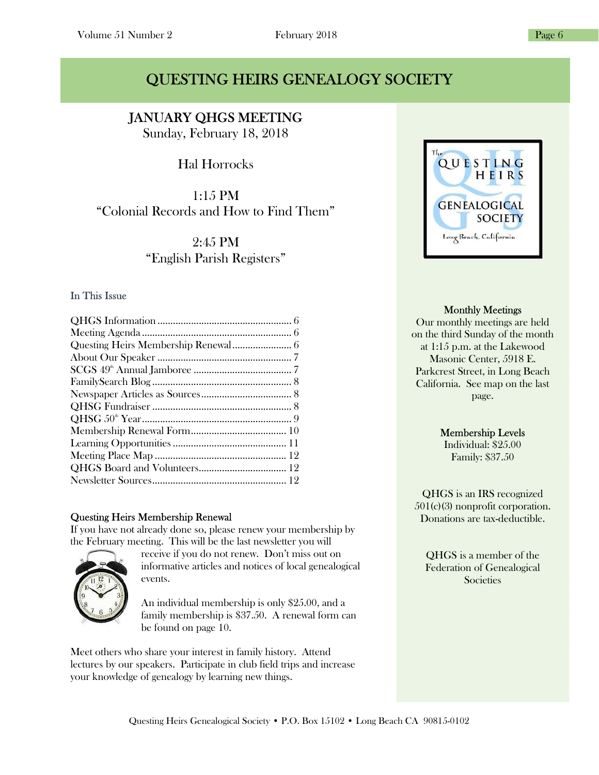# QUESTING HEIRS GENEALOGY SOCIETY

### I JANUARY QHGS MEETING

Sunday, February 18, 2018

# Hal Horrocks

1:15 PM "Colonial Records and How to Find Them"

> 2:45 PM "English Parish Registers"

### In This Issue

### Questing Heirs Membership Renewal

If you have not already done so, please renew your membership by the February meeting. This will be the last newsletter you will



receive if you do not renew. Don't miss out on informative articles and notices of local genealogical events.

An individual membership is only \$25.00, and a family membership is \$37.50. A renewal form can be found on page 10.

Meet others who share your interest in family history. Attend lectures by our speakers. Participate in club field trips and increase your knowledge of genealogy by learning new things.



### Monthly Meetings

Our monthly meetings are held on the third Sunday of the month at 1:15 p.m. at the Lakewood Masonic Center, 5918 E. Parkcrest Street, in Long Beach California. See map on the last page.

### Membership Levels

Individual: \$25.00 Family: \$37.50

QHGS is an IRS recognized 501(c)(3) nonprofit corporation. Donations are tax-deductible.

QHGS is a member of the Federation of Genealogical **Societies**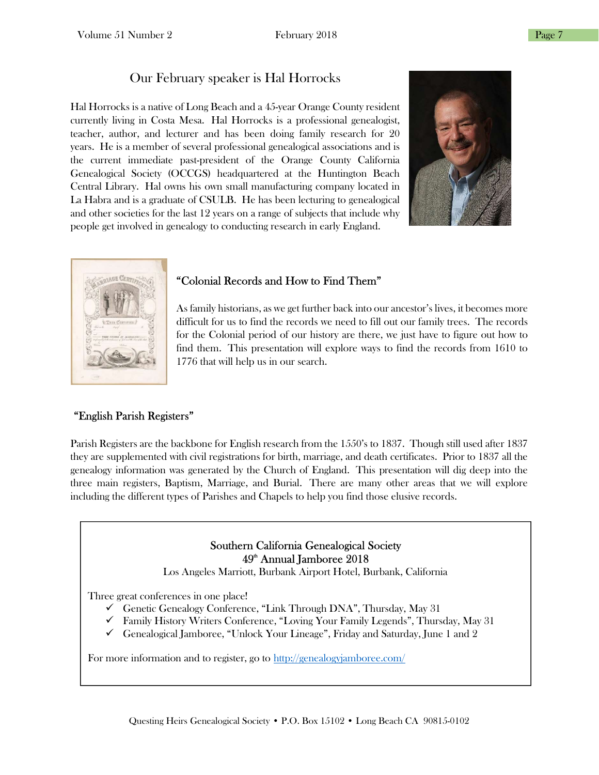# Our February speaker is Hal Horrocks

Hal Horrocks is a native of Long Beach and a 45-year Orange County resident currently living in Costa Mesa. Hal Horrocks is a professional genealogist, teacher, author, and lecturer and has been doing family research for 20 years. He is a member of several professional genealogical associations and is the current immediate past-president of the Orange County California Genealogical Society (OCCGS) headquartered at the Huntington Beach Central Library. Hal owns his own small manufacturing company located in La Habra and is a graduate of CSULB. He has been lecturing to genealogical and other societies for the last 12 years on a range of subjects that include why people get involved in genealogy to conducting research in early England.





### "Colonial Records and How to Find Them"

As family historians, as we get further back into our ancestor's lives, it becomes more difficult for us to find the records we need to fill out our family trees. The records for the Colonial period of our history are there, we just have to figure out how to find them. This presentation will explore ways to find the records from 1610 to 1776 that will help us in our search.

### "English Parish Registers"

Parish Registers are the backbone for English research from the 1550's to 1837. Though still used after 1837 they are supplemented with civil registrations for birth, marriage, and death certificates. Prior to 1837 all the genealogy information was generated by the Church of England. This presentation will dig deep into the three main registers, Baptism, Marriage, and Burial. There are many other areas that we will explore including the different types of Parishes and Chapels to help you find those elusive records.

### Southern California Genealogical Society  $49<sup>th</sup>$  Annual Jamboree 2018

Los Angeles Marriott, Burbank Airport Hotel, Burbank, California

Three great conferences in one place!

- Genetic Genealogy Conference, "Link Through DNA", Thursday, May 31
- Family History Writers Conference, "Loving Your Family Legends", Thursday, May 31
- Genealogical Jamboree, "Unlock Your Lineage", Friday and Saturday, June 1 and 2

For more information and to register, go to http://genealogyjamboree.com/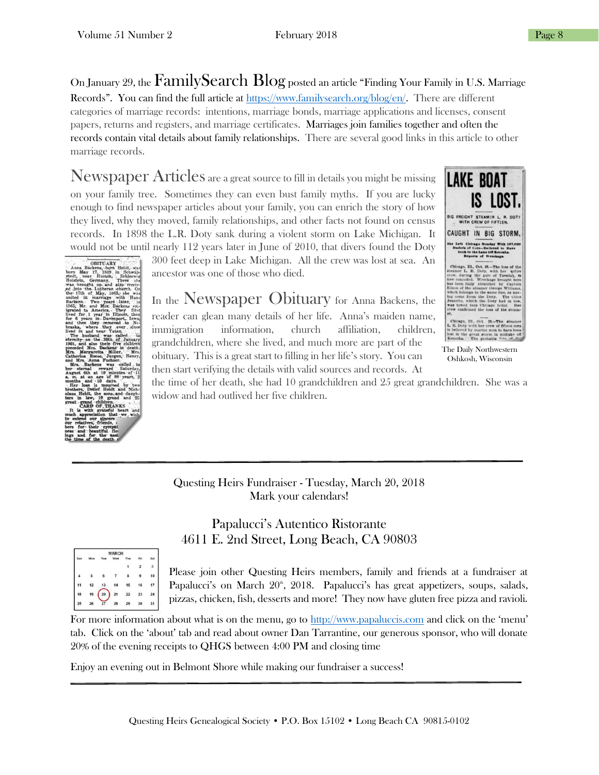On January 29, the FamilySearch Blog posted an article "Finding Your Family in U.S. Marriage Records". You can find the full article at https://www.familysearch.org/blog/en/. There are different categories of marriage records: intentions, marriage bonds, marriage applications and licenses, consent papers, returns and registers, and marriage certificates. Marriages join families together and often the records contain vital details about family relationships. There are several good links in this article to other marriage records.

Newspaper Articles are a great source to fill in details you might be missing on your family tree. Sometimes they can even bust family myths. If you are lucky enough to find newspaper articles about your family, you can enrich the story of how they lived, why they moved, family relationships, and other facts not found on census records. In 1898 the L.R. Doty sank during a violent storm on Lake Michigan. It would not be until nearly 112 years later in June of 2010, that divers found the Doty

300 feet deep in Lake Michigan. All the crew was lost at sea. An ancestor was one of those who died.

# In the Newspaper Obituary for Anna Backens, the

reader can glean many details of her life. Anna's maiden name, immigration information, church affiliation, children, grandchildren, where she lived, and much more are part of the obituary. This is a great start to filling in her life's story. You can then start verifying the details with valid sources and records. At



The Daily Northwestern Oshkosh, Wisconsin

the time of her death, she had 10 grandchildren and 25 great grandchildren. She was a widow and had outlived her five children.

Questing Heirs Fundraiser - Tuesday, March 20, 2018 Mark your calendars!

## Papalucci's Autentico Ristorante 4611 E. 2nd Street, Long Beach, CA 90803



Please join other Questing Heirs members, family and friends at a fundraiser at Papalucci's on March 20<sup>th</sup>, 2018. Papalucci's has great appetizers, soups, salads, pizzas, chicken, fish, desserts and more! They now have gluten free pizza and ravioli.

For more information about what is on the menu, go to http://www.papaluccis.com and click on the 'menu' tab. Click on the 'about' tab and read about owner Dan Tarrantine, our generous sponsor, who will donate 20% of the evening receipts to QHGS between 4:00 PM and closing time

Enjoy an evening out in Belmont Shore while making our fundraiser a success!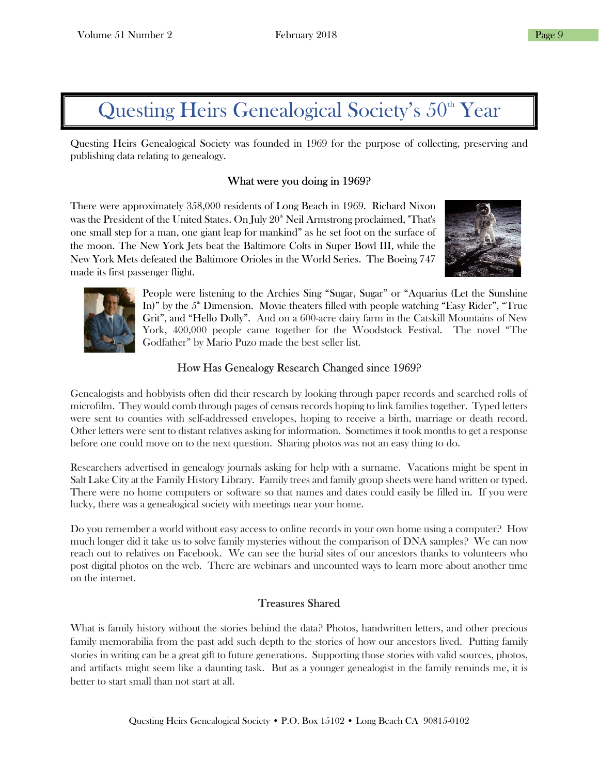# Questing Heirs Genealogical Society's  $50<sup>th</sup>$  Year

Questing Heirs Genealogical Society was founded in 1969 for the purpose of collecting, preserving and publishing data relating to genealogy.

### What were you doing in 1969?

There were approximately 358,000 residents of Long Beach in 1969. Richard Nixon was the President of the United States. On July 20<sup>th</sup> Neil Armstrong proclaimed, "That's one small step for a man, one giant leap for mankind" as he set foot on the surface of the moon. The New York Jets beat the Baltimore Colts in Super Bowl III, while the New York Mets defeated the Baltimore Orioles in the World Series. The Boeing 747 made its first passenger flight.





People were listening to the Archies Sing "Sugar, Sugar" or "Aquarius (Let the Sunshine In)" by the  $5<sup>th</sup>$  Dimension. Movie theaters filled with people watching "Easy Rider", "True Grit", and "Hello Dolly". And on a 600-acre dairy farm in the Catskill Mountains of New York, 400,000 people came together for the Woodstock Festival. The novel "The Godfather" by Mario Puzo made the best seller list.

### How Has Genealogy Research Changed since 1969?

Genealogists and hobbyists often did their research by looking through paper records and searched rolls of microfilm. They would comb through pages of census records hoping to link families together. Typed letters were sent to counties with self-addressed envelopes, hoping to receive a birth, marriage or death record. Other letters were sent to distant relatives asking for information. Sometimes it took months to get a response before one could move on to the next question. Sharing photos was not an easy thing to do.

Researchers advertised in genealogy journals asking for help with a surname. Vacations might be spent in Salt Lake City at the Family History Library. Family trees and family group sheets were hand written or typed. There were no home computers or software so that names and dates could easily be filled in. If you were lucky, there was a genealogical society with meetings near your home.

Do you remember a world without easy access to online records in your own home using a computer? How much longer did it take us to solve family mysteries without the comparison of DNA samples? We can now reach out to relatives on Facebook. We can see the burial sites of our ancestors thanks to volunteers who post digital photos on the web. There are webinars and uncounted ways to learn more about another time on the internet.

### Treasures Shared

What is family history without the stories behind the data? Photos, handwritten letters, and other precious family memorabilia from the past add such depth to the stories of how our ancestors lived. Putting family stories in writing can be a great gift to future generations. Supporting those stories with valid sources, photos, and artifacts might seem like a daunting task. But as a younger genealogist in the family reminds me, it is better to start small than not start at all.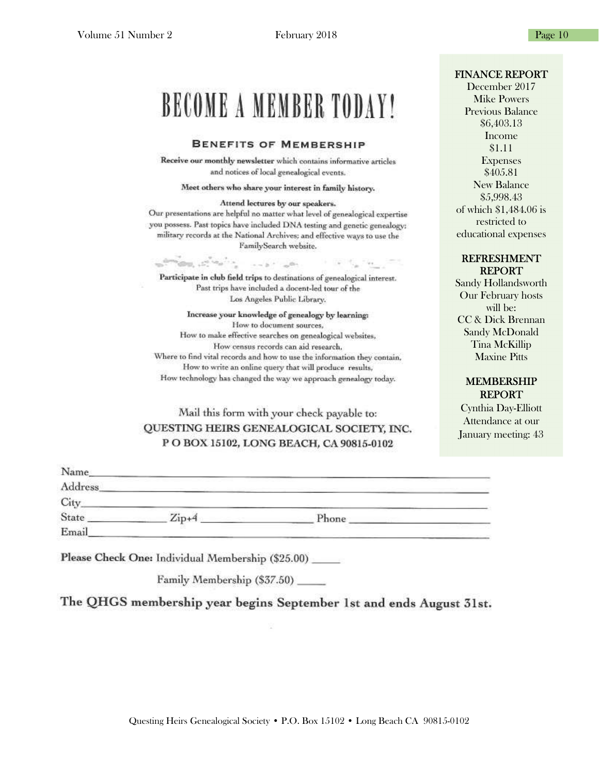### FINANCE REPORT

December 2017 Mike Powers Previous Balance \$6,403.13 Income \$1.11 Expenses \$405.81 New Balance \$5,998.43 of which \$1,484.06 is restricted to educational expenses

### REFRESHMENT REPORT

Sandy Hollandsworth Our February hosts will be: CC & Dick Brennan Sandy McDonald Tina McKillip Maxine Pitts

### MEMBERSHIP REPORT

Cynthia Day-Elliott Attendance at our January meeting: 43

|  |  | <b>BENEFITS OF MEMBERSHIP</b> |
|--|--|-------------------------------|
|--|--|-------------------------------|

**BECOME A MEMBER TODAY!** 

and notices of local genealogical events.

Meet others who share your interest in family history.

Attend lectures by our speakers. Our presentations are helpful no matter what level of genealogical expertise you possess. Past topics have included DNA testing and genetic genealogy: military records at the National Archives; and effective ways to use the FamilySearch website.

Participate in club field trips to destinations of genealogical interest. Past trips have included a docent-led tour of the Los Angeles Public Library.

 $-5 - 0$ 

**In the Country of the Country of the Country of the Country of the Country of the Country of the Country of the Country of the Country of the Country of the Country of the Country of the Country of the Country of the Coun** 

Increase your knowledge of genealogy by learning: How to document sources, How to make effective searches on genealogical websites, How census records can aid research. Where to find vital records and how to use the information they contain. How to write an online query that will produce results, How technology has changed the way we approach genealogy today.

### Mail this form with your check payable to: QUESTING HEIRS GENEALOGICAL SOCIETY, INC. P O BOX 15102, LONG BEACH, CA 90815-0102

| Name_   |                                    |       |                                   |
|---------|------------------------------------|-------|-----------------------------------|
| Address | and the property of the company of |       | the control of the control of the |
| City    |                                    |       |                                   |
| State   | $Zip+4$                            | Phone |                                   |
| Email   |                                    |       |                                   |

Please Check One: Individual Membership (\$25.00) \_\_\_\_\_

**The College College College** 

Family Membership (\$37.50)

The QHGS membership year begins September 1st and ends August 31st.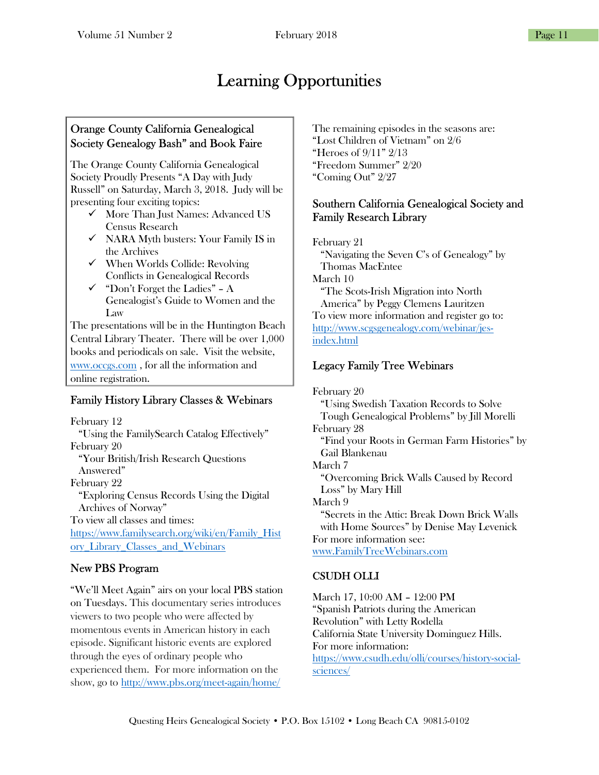# Learning Opportunities

### Orange County California Genealogical Society Genealogy Bash" and Book Faire

The Orange County California Genealogical Society Proudly Presents "A Day with Judy Russell" on Saturday, March 3, 2018. Judy will be presenting four exciting topics:

- $\checkmark$  More Than Just Names: Advanced US Census Research
- $\checkmark$  NARA Myth busters: Your Family IS in the Archives
- When Worlds Collide: Revolving Conflicts in Genealogical Records
- $\checkmark$  "Don't Forget the Ladies" A Genealogist's Guide to Women and the Law

The presentations will be in the Huntington Beach Central Library Theater. There will be over 1,000 books and periodicals on sale. Visit the website, www.occgs.com , for all the information and online registration.

## Family History Library Classes & Webinars

February 12 "Using the FamilySearch Catalog Effectively" February 20 "Your British/Irish Research Questions Answered" February 22 "Exploring Census Records Using the Digital Archives of Norway" To view all classes and times: https://www.familysearch.org/wiki/en/Family\_Hist ory\_Library\_Classes\_and\_Webinars

## New PBS Program

"We'll Meet Again" airs on your local PBS station on Tuesdays. This documentary series introduces viewers to two people who were affected by momentous events in American history in each episode. Significant historic events are explored through the eyes of ordinary people who experienced them. For more information on the show, go to http://www.pbs.org/meet-again/home/

The remaining episodes in the seasons are: "Lost Children of Vietnam" on 2/6 "Heroes of 9/11" 2/13 "Freedom Summer" 2/20 "Coming Out" 2/27

### Southern California Genealogical Society and Family Research Library

February 21 "Navigating the Seven C's of Genealogy" by Thomas MacEntee March 10 "The Scots-Irish Migration into North America" by Peggy Clemens Lauritzen To view more information and register go to: http://www.scgsgenealogy.com/webinar/jesindex.html

# Legacy Family Tree Webinars

February 20 "Using Swedish Taxation Records to Solve Tough Genealogical Problems" by Jill Morelli February 28 "Find your Roots in German Farm Histories" by Gail Blankenau March 7 "Overcoming Brick Walls Caused by Record Loss" by Mary Hill March 9 "Secrets in the Attic: Break Down Brick Walls with Home Sources" by Denise May Levenick For more information see: www.FamilyTreeWebinars.com

# CSUDH OLLI

March 17, 10:00 AM – 12:00 PM "Spanish Patriots during the American Revolution" with Letty Rodella California State University Dominguez Hills. For more information: https://www.csudh.edu/olli/courses/history-socialsciences/